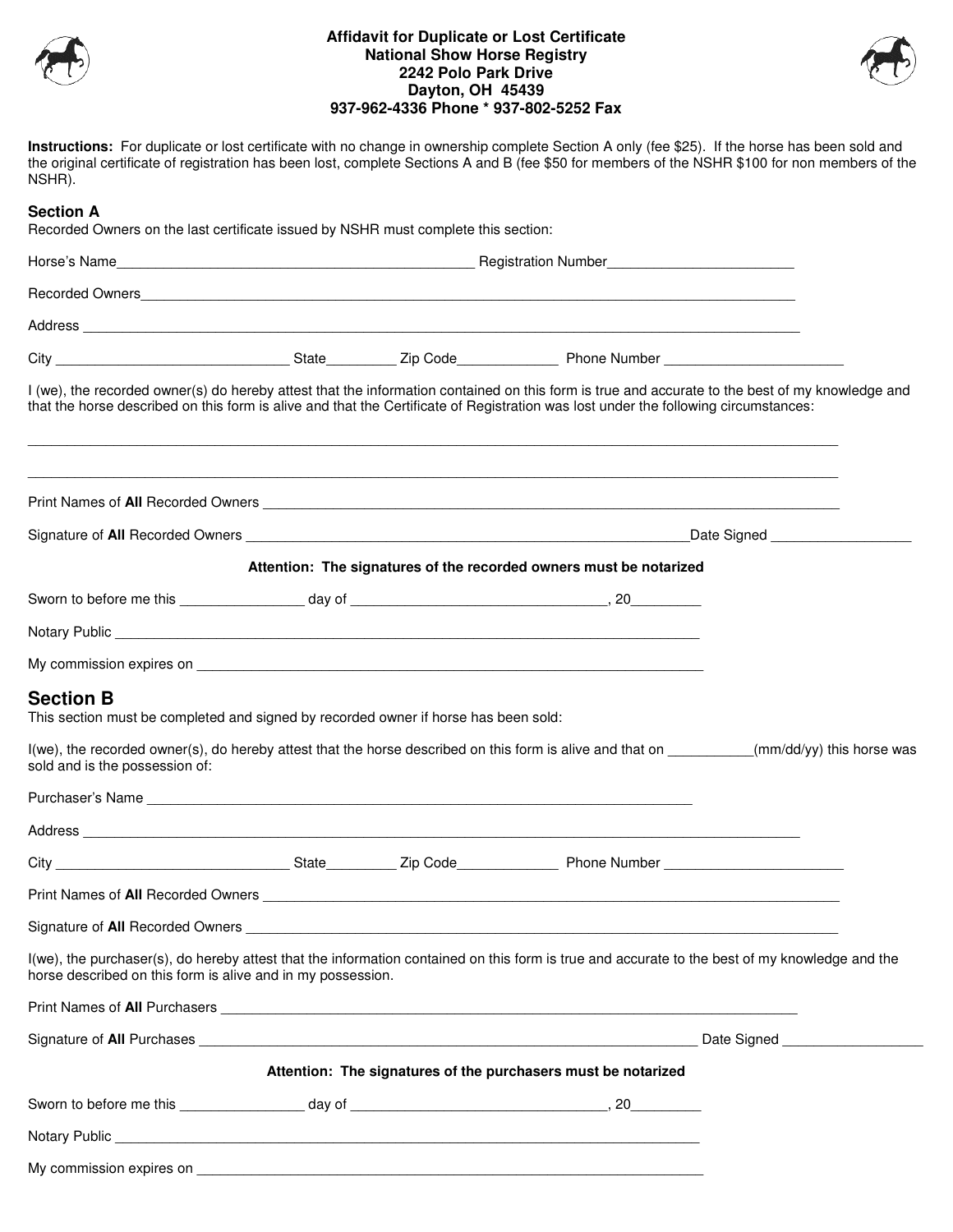

## **Affidavit for Duplicate or Lost Certificate National Show Horse Registry 2242 Polo Park Drive Dayton, OH 45439 937-962-4336 Phone \* 937-802-5252 Fax**



Instructions: For duplicate or lost certificate with no change in ownership complete Section A only (fee \$25). If the horse has been sold and the original certificate of registration has been lost, complete Sections A and B (fee \$50 for members of the NSHR \$100 for non members of the NSHR).

| <b>Section A</b><br>Recorded Owners on the last certificate issued by NSHR must complete this section:                                                                                                                                                                                 |  |  |                                                                    |                                                                                                                                                |
|----------------------------------------------------------------------------------------------------------------------------------------------------------------------------------------------------------------------------------------------------------------------------------------|--|--|--------------------------------------------------------------------|------------------------------------------------------------------------------------------------------------------------------------------------|
|                                                                                                                                                                                                                                                                                        |  |  |                                                                    |                                                                                                                                                |
|                                                                                                                                                                                                                                                                                        |  |  |                                                                    |                                                                                                                                                |
|                                                                                                                                                                                                                                                                                        |  |  |                                                                    |                                                                                                                                                |
|                                                                                                                                                                                                                                                                                        |  |  |                                                                    |                                                                                                                                                |
| I (we), the recorded owner(s) do hereby attest that the information contained on this form is true and accurate to the best of my knowledge and<br>that the horse described on this form is alive and that the Certificate of Registration was lost under the following circumstances: |  |  |                                                                    |                                                                                                                                                |
|                                                                                                                                                                                                                                                                                        |  |  |                                                                    |                                                                                                                                                |
|                                                                                                                                                                                                                                                                                        |  |  |                                                                    |                                                                                                                                                |
|                                                                                                                                                                                                                                                                                        |  |  | Attention: The signatures of the recorded owners must be notarized |                                                                                                                                                |
|                                                                                                                                                                                                                                                                                        |  |  |                                                                    |                                                                                                                                                |
|                                                                                                                                                                                                                                                                                        |  |  |                                                                    |                                                                                                                                                |
|                                                                                                                                                                                                                                                                                        |  |  |                                                                    |                                                                                                                                                |
| <b>Section B</b><br>This section must be completed and signed by recorded owner if horse has been sold:                                                                                                                                                                                |  |  |                                                                    |                                                                                                                                                |
| sold and is the possession of:                                                                                                                                                                                                                                                         |  |  |                                                                    | I(we), the recorded owner(s), do hereby attest that the horse described on this form is alive and that on ___________(mm/dd/yy) this horse was |
|                                                                                                                                                                                                                                                                                        |  |  |                                                                    |                                                                                                                                                |
|                                                                                                                                                                                                                                                                                        |  |  |                                                                    |                                                                                                                                                |
|                                                                                                                                                                                                                                                                                        |  |  |                                                                    |                                                                                                                                                |
|                                                                                                                                                                                                                                                                                        |  |  |                                                                    |                                                                                                                                                |
|                                                                                                                                                                                                                                                                                        |  |  |                                                                    |                                                                                                                                                |
| I(we), the purchaser(s), do hereby attest that the information contained on this form is true and accurate to the best of my knowledge and the<br>horse described on this form is alive and in my possession.                                                                          |  |  |                                                                    |                                                                                                                                                |
|                                                                                                                                                                                                                                                                                        |  |  |                                                                    |                                                                                                                                                |
|                                                                                                                                                                                                                                                                                        |  |  |                                                                    | Date Signed _______________________                                                                                                            |
|                                                                                                                                                                                                                                                                                        |  |  | Attention: The signatures of the purchasers must be notarized      |                                                                                                                                                |
|                                                                                                                                                                                                                                                                                        |  |  |                                                                    |                                                                                                                                                |
|                                                                                                                                                                                                                                                                                        |  |  |                                                                    |                                                                                                                                                |
|                                                                                                                                                                                                                                                                                        |  |  |                                                                    |                                                                                                                                                |